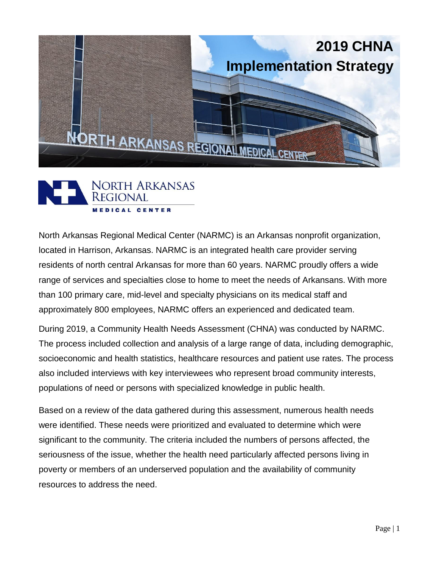



North Arkansas Regional Medical Center (NARMC) is an Arkansas nonprofit organization, located in Harrison, Arkansas. NARMC is an integrated health care provider serving residents of north central Arkansas for more than 60 years. NARMC proudly offers a wide range of services and specialties close to home to meet the needs of Arkansans. With more than 100 primary care, mid-level and specialty physicians on its medical staff and approximately 800 employees, NARMC offers an experienced and dedicated team.

During 2019, a Community Health Needs Assessment (CHNA) was conducted by NARMC. The process included collection and analysis of a large range of data, including demographic, socioeconomic and health statistics, healthcare resources and patient use rates. The process also included interviews with key interviewees who represent broad community interests, populations of need or persons with specialized knowledge in public health.

Based on a review of the data gathered during this assessment, numerous health needs were identified. These needs were prioritized and evaluated to determine which were significant to the community. The criteria included the numbers of persons affected, the seriousness of the issue, whether the health need particularly affected persons living in poverty or members of an underserved population and the availability of community resources to address the need.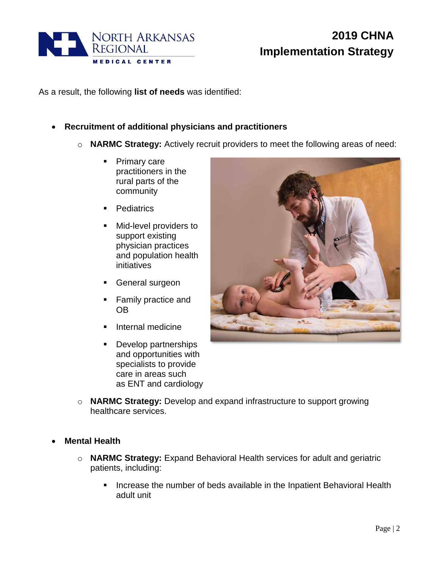

As a result, the following **list of needs** was identified:

- **Recruitment of additional physicians and practitioners**
	- o **NARMC Strategy:** Actively recruit providers to meet the following areas of need:
		- **Primary care** practitioners in the rural parts of the community
		- Pediatrics
		- **Mid-level providers to** support existing physician practices and population health initiatives
		- **General surgeon**
		- **Family practice and** OB
		- Internal medicine
		- **Develop partnerships** and opportunities with specialists to provide care in areas such as ENT and cardiology



- o **NARMC Strategy:** Develop and expand infrastructure to support growing healthcare services.
- **Mental Health**
	- o **NARMC Strategy:** Expand Behavioral Health services for adult and geriatric patients, including:
		- **Increase the number of beds available in the Inpatient Behavioral Health** adult unit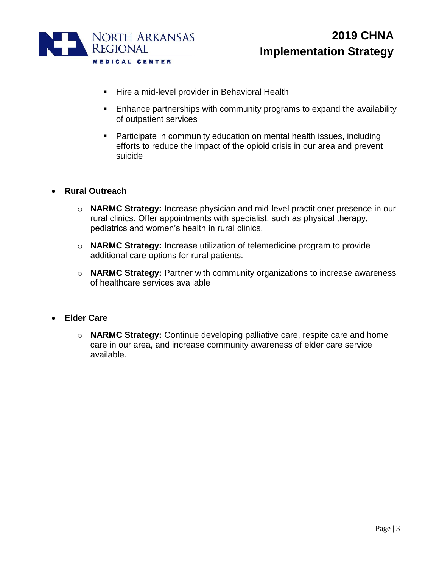

- **Hire a mid-level provider in Behavioral Health**
- **Enhance partnerships with community programs to expand the availability** of outpatient services
- Participate in community education on mental health issues, including efforts to reduce the impact of the opioid crisis in our area and prevent suicide
- **Rural Outreach**
	- o **NARMC Strategy:** Increase physician and mid-level practitioner presence in our rural clinics. Offer appointments with specialist, such as physical therapy, pediatrics and women's health in rural clinics.
	- o **NARMC Strategy:** Increase utilization of telemedicine program to provide additional care options for rural patients.
	- o **NARMC Strategy:** Partner with community organizations to increase awareness of healthcare services available
- **Elder Care**
	- o **NARMC Strategy:** Continue developing palliative care, respite care and home care in our area, and increase community awareness of elder care service available.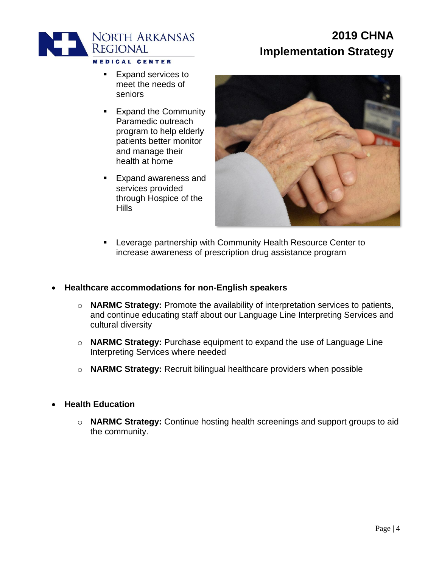

- **Expand services to** meet the needs of seniors
- **Expand the Community** Paramedic outreach program to help elderly patients better monitor and manage their health at home
- **Expand awareness and** services provided through Hospice of the **Hills**



**EXECTER** Leverage partnership with Community Health Resource Center to increase awareness of prescription drug assistance program

#### **Healthcare accommodations for non-English speakers**

- o **NARMC Strategy:** Promote the availability of interpretation services to patients, and continue educating staff about our Language Line Interpreting Services and cultural diversity
- o **NARMC Strategy:** Purchase equipment to expand the use of Language Line Interpreting Services where needed
- o **NARMC Strategy:** Recruit bilingual healthcare providers when possible
- **Health Education**
	- o **NARMC Strategy:** Continue hosting health screenings and support groups to aid the community.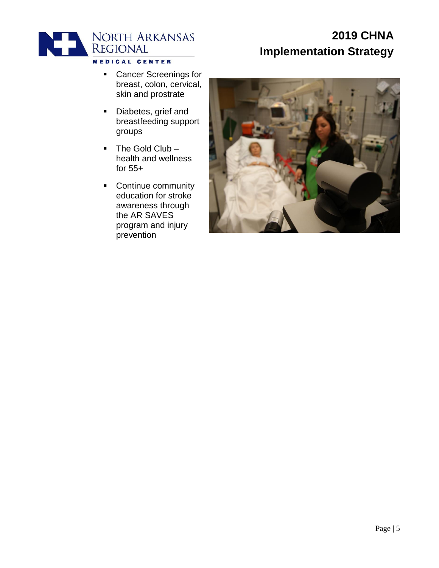

- **Cancer Screenings for** breast, colon, cervical, skin and prostrate
- Diabetes, grief and breastfeeding support groups
- $\blacksquare$  The Gold Club health and wellness for 55+
- **Continue community** education for stroke awareness through the AR SAVES program and injury prevention

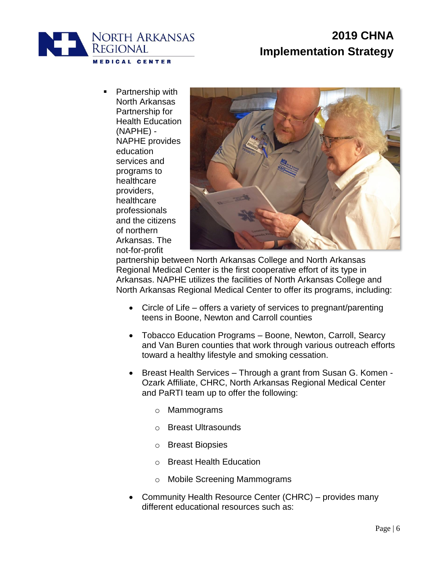

 Partnership with North Arkansas Partnership for Health Education (NAPHE) - NAPHE provides education services and programs to healthcare providers, healthcare professionals and the citizens of northern Arkansas. The not-for-profit



partnership between North Arkansas College and North Arkansas Regional Medical Center is the first cooperative effort of its type in Arkansas. NAPHE utilizes the facilities of North Arkansas College and North Arkansas Regional Medical Center to offer its programs, including:

- Circle of Life offers a variety of services to pregnant/parenting teens in Boone, Newton and Carroll counties
- Tobacco Education Programs Boone, Newton, Carroll, Searcy and Van Buren counties that work through various outreach efforts toward a healthy lifestyle and smoking cessation.
- Breast Health Services Through a grant from Susan G. Komen Ozark Affiliate, CHRC, North Arkansas Regional Medical Center and PaRTI team up to offer the following:
	- o Mammograms
	- o Breast Ultrasounds
	- o Breast Biopsies
	- o Breast Health Education
	- o Mobile Screening Mammograms
- Community Health Resource Center (CHRC) provides many different educational resources such as: